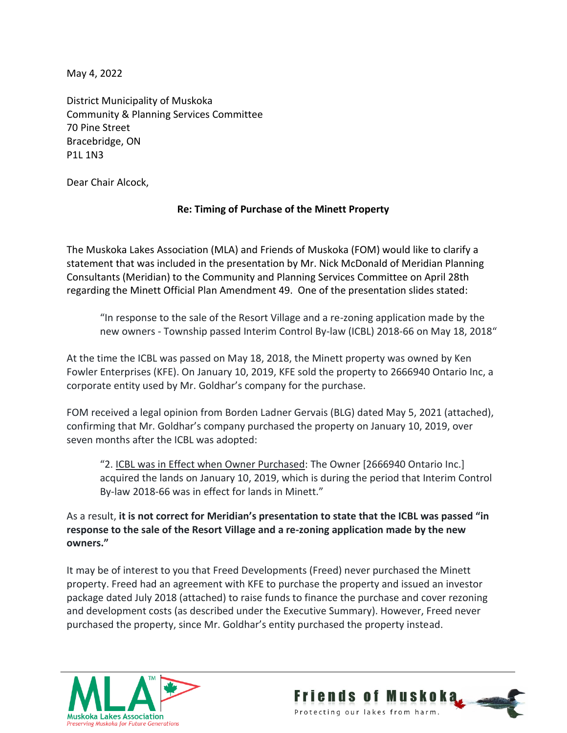May 4, 2022

District Municipality of Muskoka Community & Planning Services Committee 70 Pine Street Bracebridge, ON P1L 1N3

Dear Chair Alcock,

## **Re: Timing of Purchase of the Minett Property**

The Muskoka Lakes Association (MLA) and Friends of Muskoka (FOM) would like to clarify a statement that was included in the presentation by Mr. Nick McDonald of Meridian Planning Consultants (Meridian) to the Community and Planning Services Committee on April 28th regarding the Minett Official Plan Amendment 49. One of the presentation slides stated:

"In response to the sale of the Resort Village and a re-zoning application made by the new owners - Township passed Interim Control By-law (ICBL) 2018-66 on May 18, 2018"

At the time the ICBL was passed on May 18, 2018, the Minett property was owned by Ken Fowler Enterprises (KFE). On January 10, 2019, KFE sold the property to 2666940 Ontario Inc, a corporate entity used by Mr. Goldhar's company for the purchase.

FOM received a legal opinion from Borden Ladner Gervais (BLG) dated May 5, 2021 (attached), confirming that Mr. Goldhar's company purchased the property on January 10, 2019, over seven months after the ICBL was adopted:

"2. ICBL was in Effect when Owner Purchased: The Owner [2666940 Ontario Inc.] acquired the lands on January 10, 2019, which is during the period that Interim Control By-law 2018-66 was in effect for lands in Minett."

As a result, **it is not correct for Meridian's presentation to state that the ICBL was passed "in response to the sale of the Resort Village and a re-zoning application made by the new owners."**

It may be of interest to you that Freed Developments (Freed) never purchased the Minett property. Freed had an agreement with KFE to purchase the property and issued an investor package dated July 2018 (attached) to raise funds to finance the purchase and cover rezoning and development costs (as described under the Executive Summary). However, Freed never purchased the property, since Mr. Goldhar's entity purchased the property instead.